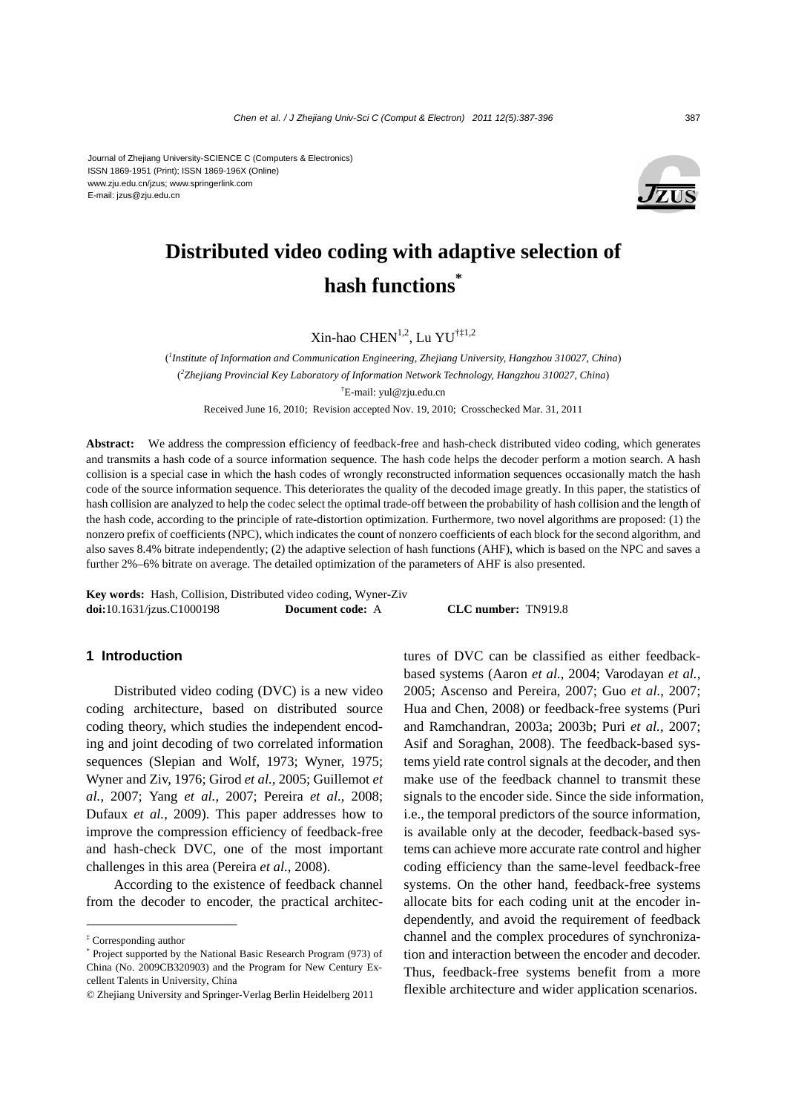Journal of Zhejiang University-SCIENCE C (Computers & Electronics) ISSN 1869-1951 (Print); ISSN 1869-196X (Online) www.zju.edu.cn/jzus; www.springerlink.com E-mail: jzus@zju.edu.cn



# **Distributed video coding with adaptive selection of hash functions\***

Xin-hao CHEN<sup>1,2</sup>. Lu YU<sup>†‡1,2</sup>

( *1 Institute of Information and Communication Engineering, Zhejiang University, Hangzhou 310027, China*) ( *2 Zhejiang Provincial Key Laboratory of Information Network Technology, Hangzhou 310027, China*) † E-mail: yul@zju.edu.cn Received June 16, 2010; Revision accepted Nov. 19, 2010; Crosschecked Mar. 31, 2011

**Abstract:** We address the compression efficiency of feedback-free and hash-check distributed video coding, which generates and transmits a hash code of a source information sequence. The hash code helps the decoder perform a motion search. A hash collision is a special case in which the hash codes of wrongly reconstructed information sequences occasionally match the hash code of the source information sequence. This deteriorates the quality of the decoded image greatly. In this paper, the statistics of hash collision are analyzed to help the codec select the optimal trade-off between the probability of hash collision and the length of the hash code, according to the principle of rate-distortion optimization. Furthermore, two novel algorithms are proposed: (1) the nonzero prefix of coefficients (NPC), which indicates the count of nonzero coefficients of each block for the second algorithm, and also saves 8.4% bitrate independently; (2) the adaptive selection of hash functions (AHF), which is based on the NPC and saves a further 2%*–*6% bitrate on average. The detailed optimization of the parameters of AHF is also presented.

**Key words:** Hash, Collision, Distributed video coding, Wyner-Ziv **doi:**10.1631/jzus.C1000198 **Document code:** A **CLC number:** TN919.8

# **1 Introduction**

Distributed video coding (DVC) is a new video coding architecture, based on distributed source coding theory, which studies the independent encoding and joint decoding of two correlated information sequences (Slepian and Wolf, 1973; Wyner, 1975; Wyner and Ziv, 1976; Girod *et al.*, 2005; Guillemot *et al.*, 2007; Yang *et al.*, 2007; Pereira *et al.*, 2008; Dufaux *et al.*, 2009). This paper addresses how to improve the compression efficiency of feedback-free and hash-check DVC, one of the most important challenges in this area (Pereira *et al.*, 2008).

According to the existence of feedback channel from the decoder to encoder, the practical architectures of DVC can be classified as either feedbackbased systems (Aaron *et al.*, 2004; Varodayan *et al.*, 2005; Ascenso and Pereira, 2007; Guo *et al.*, 2007; Hua and Chen, 2008) or feedback-free systems (Puri and Ramchandran, 2003a; 2003b; Puri *et al.*, 2007; Asif and Soraghan, 2008). The feedback-based systems yield rate control signals at the decoder, and then make use of the feedback channel to transmit these signals to the encoder side. Since the side information, i.e., the temporal predictors of the source information, is available only at the decoder, feedback-based systems can achieve more accurate rate control and higher coding efficiency than the same-level feedback-free systems. On the other hand, feedback-free systems allocate bits for each coding unit at the encoder independently, and avoid the requirement of feedback channel and the complex procedures of synchronization and interaction between the encoder and decoder. Thus, feedback-free systems benefit from a more flexible architecture and wider application scenarios.

<sup>‡</sup> Corresponding author

<sup>\*</sup> Project supported by the National Basic Research Program (973) of China (No. 2009CB320903) and the Program for New Century Excellent Talents in University, China

<sup>©</sup> Zhejiang University and Springer-Verlag Berlin Heidelberg 2011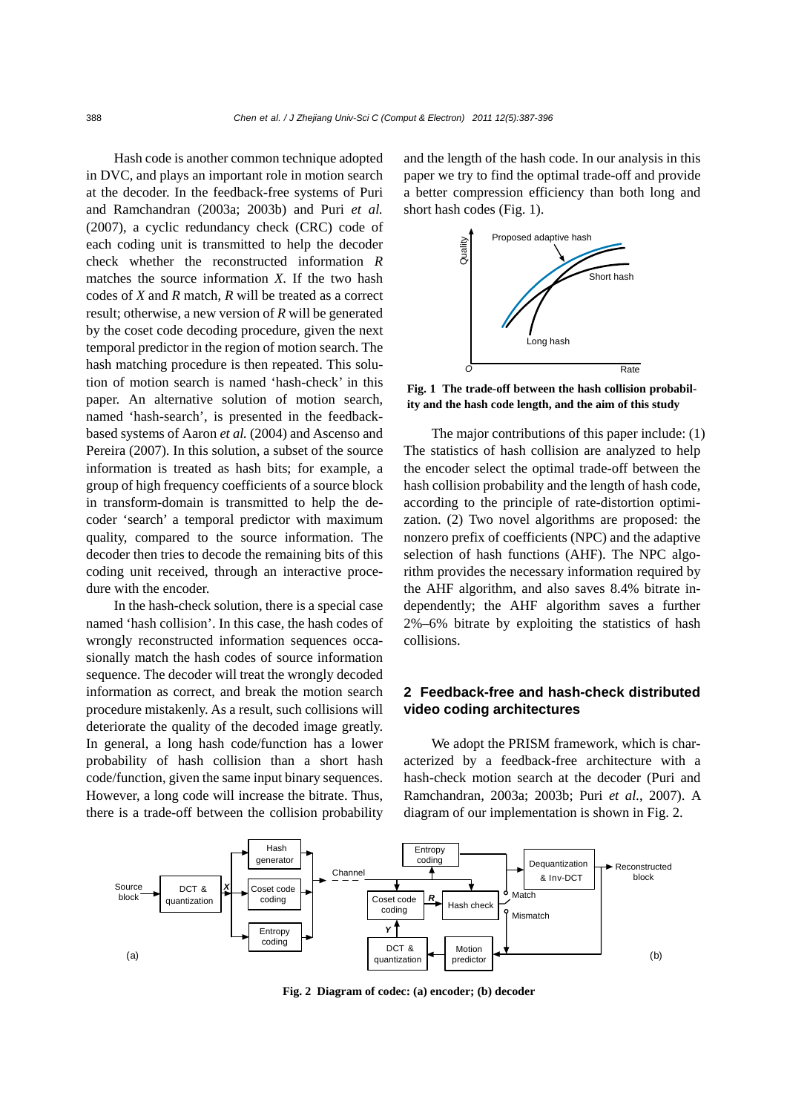Hash code is another common technique adopted in DVC, and plays an important role in motion search at the decoder. In the feedback-free systems of Puri and Ramchandran (2003a; 2003b) and Puri *et al.* (2007), a cyclic redundancy check (CRC) code of each coding unit is transmitted to help the decoder check whether the reconstructed information *R* matches the source information *X*. If the two hash codes of *X* and *R* match, *R* will be treated as a correct result; otherwise, a new version of *R* will be generated by the coset code decoding procedure, given the next temporal predictor in the region of motion search. The hash matching procedure is then repeated. This solution of motion search is named 'hash-check' in this paper. An alternative solution of motion search, named 'hash-search', is presented in the feedbackbased systems of Aaron *et al.* (2004) and Ascenso and Pereira (2007). In this solution, a subset of the source information is treated as hash bits; for example, a group of high frequency coefficients of a source block in transform-domain is transmitted to help the decoder 'search' a temporal predictor with maximum quality, compared to the source information. The decoder then tries to decode the remaining bits of this coding unit received, through an interactive procedure with the encoder.

In the hash-check solution, there is a special case named 'hash collision'. In this case, the hash codes of wrongly reconstructed information sequences occasionally match the hash codes of source information sequence. The decoder will treat the wrongly decoded information as correct, and break the motion search procedure mistakenly. As a result, such collisions will deteriorate the quality of the decoded image greatly. In general, a long hash code/function has a lower probability of hash collision than a short hash code/function, given the same input binary sequences. However, a long code will increase the bitrate. Thus, there is a trade-off between the collision probability

and the length of the hash code. In our analysis in this paper we try to find the optimal trade-off and provide a better compression efficiency than both long and short hash codes (Fig. 1).



**Fig. 1 The trade-off between the hash collision probabil-**

The major contributions of this paper include: (1) The statistics of hash collision are analyzed to help the encoder select the optimal trade-off between the hash collision probability and the length of hash code, according to the principle of rate-distortion optimization. (2) Two novel algorithms are proposed: the nonzero prefix of coefficients (NPC) and the adaptive selection of hash functions (AHF). The NPC algorithm provides the necessary information required by the AHF algorithm, and also saves 8.4% bitrate independently; the AHF algorithm saves a further 2%–6% bitrate by exploiting the statistics of hash collisions.

# **2 Feedback-free and hash-check distributed video coding architectures**

We adopt the PRISM framework, which is characterized by a feedback-free architecture with a hash-check motion search at the decoder (Puri and Ramchandran, 2003a; 2003b; Puri *et al.*, 2007). A diagram of our implementation is shown in Fig. 2.



**Fig. 2 Diagram of codec: (a) encoder; (b) decoder**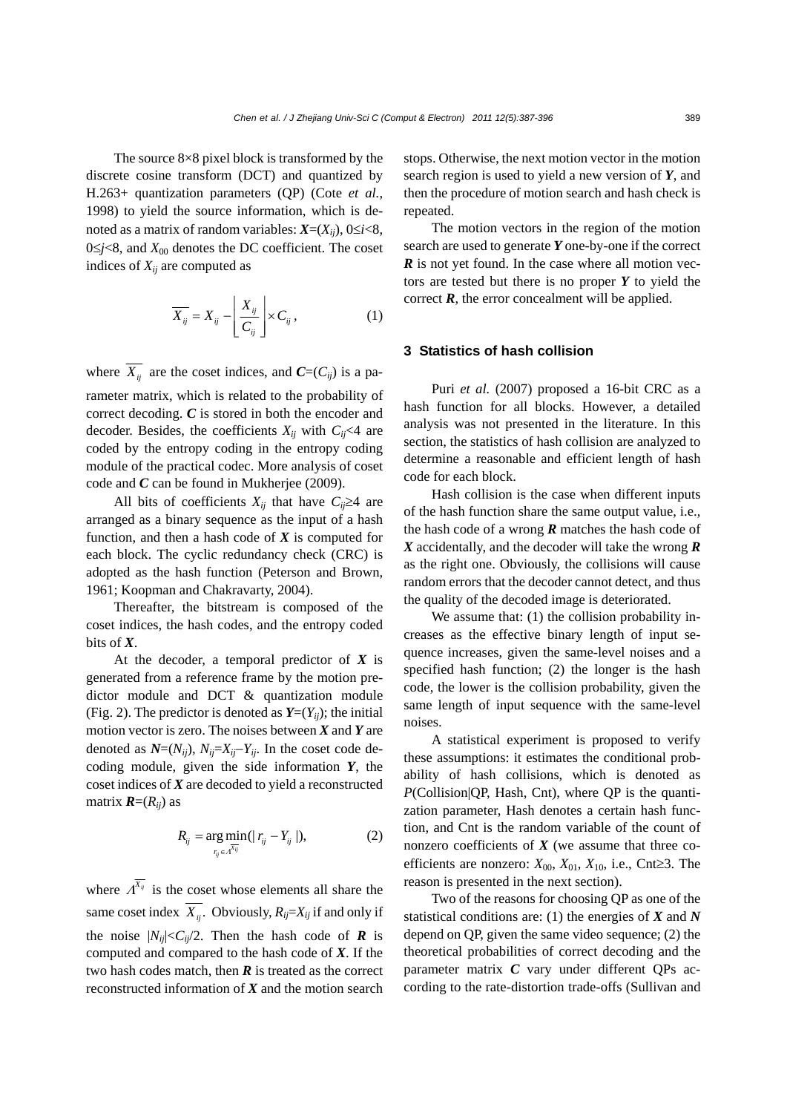The source  $8\times8$  pixel block is transformed by the discrete cosine transform (DCT) and quantized by H.263+ quantization parameters (QP) (Cote *et al.*, 1998) to yield the source information, which is denoted as a matrix of random variables:  $X=(X_{ii})$ ,  $0\le i<8$ , 0≤*j*<8, and *X*00 denotes the DC coefficient. The coset indices of  $X_{ij}$  are computed as

$$
\overline{X_{ij}} = X_{ij} - \left[ \frac{X_{ij}}{C_{ij}} \right] \times C_{ij}, \qquad (1)
$$

where  $\overline{X}_{ii}$  are the coset indices, and  $\mathbf{C}=(C_{ij})$  is a parameter matrix, which is related to the probability of correct decoding. *C* is stored in both the encoder and decoder. Besides, the coefficients  $X_{ij}$  with  $C_{ij}$  <4 are coded by the entropy coding in the entropy coding module of the practical codec. More analysis of coset code and *C* can be found in Mukherjee (2009).

All bits of coefficients  $X_{ij}$  that have  $C_{ij} \geq 4$  are arranged as a binary sequence as the input of a hash function, and then a hash code of *X* is computed for each block. The cyclic redundancy check (CRC) is adopted as the hash function (Peterson and Brown, 1961; Koopman and Chakravarty, 2004).

Thereafter, the bitstream is composed of the coset indices, the hash codes, and the entropy coded bits of *X*.

At the decoder, a temporal predictor of *X* is generated from a reference frame by the motion predictor module and DCT & quantization module (Fig. 2). The predictor is denoted as  $Y=(Y_{ii})$ ; the initial motion vector is zero. The noises between *X* and *Y* are denoted as  $N=(N_{ij})$ ,  $N_{ij}=X_{ij}-Y_{ij}$ . In the coset code decoding module, given the side information *Y*, the coset indices of *X* are decoded to yield a reconstructed matrix  $R=(R_{ii})$  as

$$
R_{ij} = \underset{r_{ij} \in \overline{A^{x_{ij}}}}{\arg \min} (|r_{ij} - Y_{ij}|), \tag{2}
$$

where  $\overline{A}^{\overline{X}_{ij}}$  is the coset whose elements all share the same coset index  $\overline{X_{ij}}$ . Obviously,  $R_{ij} = X_{ij}$  if and only if the noise  $|N_{ij}| < C_{ij}/2$ . Then the hash code of **R** is computed and compared to the hash code of *X*. If the two hash codes match, then  $\vec{R}$  is treated as the correct reconstructed information of *X* and the motion search stops. Otherwise, the next motion vector in the motion search region is used to yield a new version of *Y*, and then the procedure of motion search and hash check is repeated.

The motion vectors in the region of the motion search are used to generate *Y* one-by-one if the correct *R* is not yet found. In the case where all motion vectors are tested but there is no proper *Y* to yield the correct  $\vec{R}$ , the error concealment will be applied.

#### **3 Statistics of hash collision**

Puri *et al.* (2007) proposed a 16-bit CRC as a hash function for all blocks. However, a detailed analysis was not presented in the literature. In this section, the statistics of hash collision are analyzed to determine a reasonable and efficient length of hash code for each block.

Hash collision is the case when different inputs of the hash function share the same output value, i.e., the hash code of a wrong *R* matches the hash code of *X* accidentally, and the decoder will take the wrong *R* as the right one. Obviously, the collisions will cause random errors that the decoder cannot detect, and thus the quality of the decoded image is deteriorated.

We assume that: (1) the collision probability increases as the effective binary length of input sequence increases, given the same-level noises and a specified hash function; (2) the longer is the hash code, the lower is the collision probability, given the same length of input sequence with the same-level noises.

A statistical experiment is proposed to verify these assumptions: it estimates the conditional probability of hash collisions, which is denoted as *P*(Collision|QP, Hash, Cnt), where QP is the quantization parameter, Hash denotes a certain hash function, and Cnt is the random variable of the count of nonzero coefficients of  $X$  (we assume that three coefficients are nonzero:  $X_{00}$ ,  $X_{01}$ ,  $X_{10}$ , i.e., Cnt≥3. The reason is presented in the next section).

Two of the reasons for choosing QP as one of the statistical conditions are: (1) the energies of *X* and *N* depend on QP, given the same video sequence; (2) the theoretical probabilities of correct decoding and the parameter matrix *C* vary under different QPs according to the rate-distortion trade-offs (Sullivan and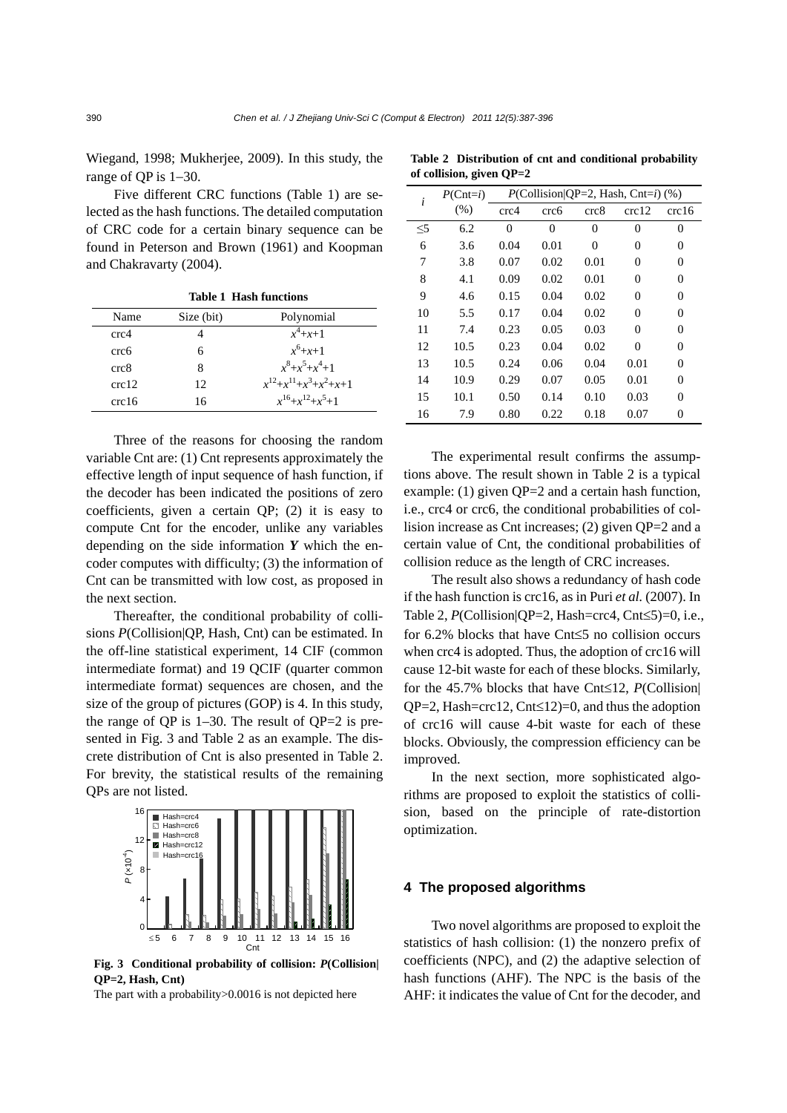Wiegand, 1998; Mukherjee, 2009). In this study, the range of QP is 1−30.

**Table 2 Distribution of cnt and conditional probability of collision, given QP=2** 

Five different CRC functions (Table 1) are selected as the hash functions. The detailed computation of CRC code for a certain binary sequence can be found in Peterson and Brown (1961) and Koopman and Chakravarty (2004).

**Table 1 Hash functions** 

| таріс і тіазіі ішіспонз |            |                             |  |  |
|-------------------------|------------|-----------------------------|--|--|
| Name                    | Size (bit) | Polynomial                  |  |  |
| crc4                    |            | $x^4 + x + 1$               |  |  |
| crc6                    | 6          | $x^6 + x + 1$               |  |  |
| crc8                    | 8          | $x^8 + x^5 + x^4 + 1$       |  |  |
| crc12                   | 12         | $x^{12}+x^{11}+x^3+x^2+x+1$ |  |  |
| crc16                   | 16         | $r^{16}+r^{12}+r^5+1$       |  |  |
|                         |            |                             |  |  |

Three of the reasons for choosing the random variable Cnt are: (1) Cnt represents approximately the effective length of input sequence of hash function, if the decoder has been indicated the positions of zero coefficients, given a certain QP; (2) it is easy to compute Cnt for the encoder, unlike any variables depending on the side information *Y* which the encoder computes with difficulty; (3) the information of Cnt can be transmitted with low cost, as proposed in the next section.

Thereafter, the conditional probability of collisions *P*(Collision|QP, Hash, Cnt) can be estimated. In the off-line statistical experiment, 14 CIF (common intermediate format) and 19 QCIF (quarter common intermediate format) sequences are chosen, and the size of the group of pictures (GOP) is 4. In this study, the range of QP is  $1-30$ . The result of QP=2 is presented in Fig. 3 and Table 2 as an example. The discrete distribution of Cnt is also presented in Table 2. For brevity, the statistical results of the remaining QPs are not listed.



**Fig. 3 Conditional probability of collision:** *P***(Collision| QP=2, Hash, Cnt)** 

The part with a probability>0.0016 is not depicted here

| i        | $P($ Cnt=i) | $P(Collision QP=2, Hash, Cnt=i)$ (%) |      |          |          |       |  |
|----------|-------------|--------------------------------------|------|----------|----------|-------|--|
|          | (% )        | crc4                                 | crc6 | crc8     | crc12    | crc16 |  |
| $\leq$ 5 | 6.2         | $\theta$                             | 0    | $\theta$ | 0        | 0     |  |
| 6        | 3.6         | 0.04                                 | 0.01 | $\Omega$ | 0        | 0     |  |
| 7        | 3.8         | 0.07                                 | 0.02 | 0.01     | 0        | 0     |  |
| 8        | 4.1         | 0.09                                 | 0.02 | 0.01     | $\Omega$ | 0     |  |
| 9        | 4.6         | 0.15                                 | 0.04 | 0.02     | 0        | 0     |  |
| 10       | 5.5         | 0.17                                 | 0.04 | 0.02     | $\Omega$ | 0     |  |
| 11       | 7.4         | 0.23                                 | 0.05 | 0.03     | 0        | 0     |  |
| 12       | 10.5        | 0.23                                 | 0.04 | 0.02     | $\Omega$ | 0     |  |
| 13       | 10.5        | 0.24                                 | 0.06 | 0.04     | 0.01     | 0     |  |
| 14       | 10.9        | 0.29                                 | 0.07 | 0.05     | 0.01     | 0     |  |
| 15       | 10.1        | 0.50                                 | 0.14 | 0.10     | 0.03     | 0     |  |
| 16       | 7.9         | 0.80                                 | 0.22 | 0.18     | 0.07     | 0     |  |

The experimental result confirms the assumptions above. The result shown in Table 2 is a typical example: (1) given OP=2 and a certain hash function, i.e., crc4 or crc6, the conditional probabilities of collision increase as Cnt increases; (2) given QP=2 and a certain value of Cnt, the conditional probabilities of collision reduce as the length of CRC increases.

The result also shows a redundancy of hash code if the hash function is crc16, as in Puri *et al.* (2007). In Table 2, *P*(Collision|QP=2, Hash=crc4, Cnt≤5)=0, i.e., for 6.2% blocks that have Cnt≤5 no collision occurs when crc4 is adopted. Thus, the adoption of crc16 will cause 12-bit waste for each of these blocks. Similarly, for the 45.7% blocks that have Cnt≤12, *P*(Collision| QP=2, Hash=crc12, Cnt≤12)=0, and thus the adoption of crc16 will cause 4-bit waste for each of these blocks. Obviously, the compression efficiency can be improved.

In the next section, more sophisticated algorithms are proposed to exploit the statistics of collision, based on the principle of rate-distortion optimization.

# **4 The proposed algorithms**

Two novel algorithms are proposed to exploit the statistics of hash collision: (1) the nonzero prefix of coefficients (NPC), and (2) the adaptive selection of hash functions (AHF). The NPC is the basis of the AHF: it indicates the value of Cnt for the decoder, and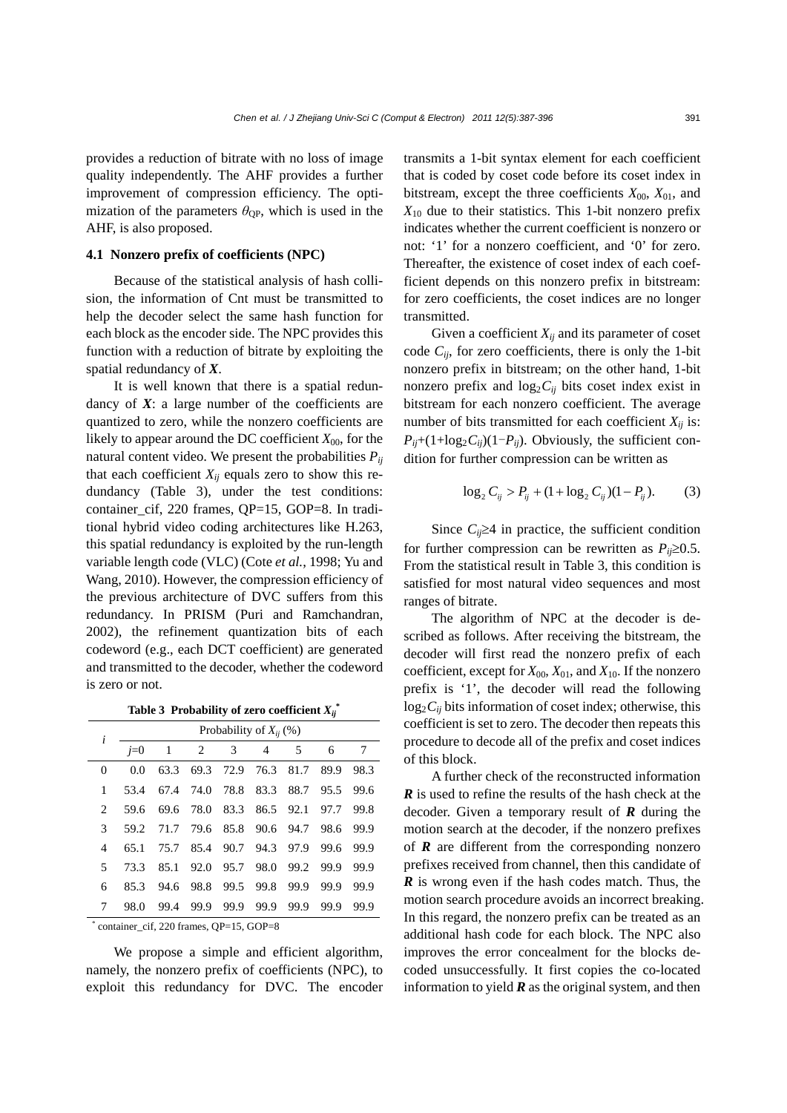provides a reduction of bitrate with no loss of image quality independently. The AHF provides a further improvement of compression efficiency. The optimization of the parameters  $\theta_{\text{OP}}$ , which is used in the AHF, is also proposed.

# **4.1 Nonzero prefix of coefficients (NPC)**

Because of the statistical analysis of hash collision, the information of Cnt must be transmitted to help the decoder select the same hash function for each block as the encoder side. The NPC provides this function with a reduction of bitrate by exploiting the spatial redundancy of *X*.

It is well known that there is a spatial redundancy of  $X$ : a large number of the coefficients are quantized to zero, while the nonzero coefficients are likely to appear around the DC coefficient  $X_{00}$ , for the natural content video. We present the probabilities  $P_{ii}$ that each coefficient  $X_{ii}$  equals zero to show this redundancy (Table 3), under the test conditions: container\_cif, 220 frames, QP=15, GOP=8. In traditional hybrid video coding architectures like H.263, this spatial redundancy is exploited by the run-length variable length code (VLC) (Cote *et al.*, 1998; Yu and Wang, 2010). However, the compression efficiency of the previous architecture of DVC suffers from this redundancy. In PRISM (Puri and Ramchandran, 2002), the refinement quantization bits of each codeword (e.g., each DCT coefficient) are generated and transmitted to the decoder, whether the codeword is zero or not.

**Table 3 Probability of zero coefficient**  $X_{ij}^*$ 

| i | Probability of $X_{ii}$ (%) |              |      |                     |           |                |      |      |
|---|-----------------------------|--------------|------|---------------------|-----------|----------------|------|------|
|   | $j=0$                       | $\mathbf{1}$ | 2    | 3                   | 4         | 5              | 6    | 7    |
| 0 | 0.0                         | 63.3         | 69.3 |                     | 72.9 76.3 | 81.7           | 89.9 | 98.3 |
| 1 | 53.4                        | 67.4         |      | 74.0 78.8 83.3      |           | 88.7           | 95.5 | 99.6 |
| 2 | 59.6                        | 69.6         | 78.0 | 83.3 86.5 92.1      |           |                | 97.7 | 99.8 |
| 3 | 59.2                        | 71.7         | 79.6 |                     |           | 85.8 90.6 94.7 | 98.6 | 99.9 |
| 4 | 65.1                        | 75.7         |      | 85.4 90.7 94.3 97.9 |           |                | 99.6 | 99.9 |
| 5 | 73.3                        | 85.1         | 92.0 | 95.7 98.0           |           | 99.2           | 99.9 | 99.9 |
| 6 | 85.3                        | 94.6         | 98.8 | 99.5                | 99.8      | 99.9           | 99.9 | 99.9 |
| 7 | 98.0                        | 99.4         | 99.9 | 99.9                | 99.9      | 99.9           | 99.9 | 99.9 |

\* container\_cif, 220 frames, QP=15, GOP=8

We propose a simple and efficient algorithm, namely, the nonzero prefix of coefficients (NPC), to exploit this redundancy for DVC. The encoder transmits a 1-bit syntax element for each coefficient that is coded by coset code before its coset index in bitstream, except the three coefficients  $X_{00}$ ,  $X_{01}$ , and  $X_{10}$  due to their statistics. This 1-bit nonzero prefix indicates whether the current coefficient is nonzero or not: '1' for a nonzero coefficient, and '0' for zero. Thereafter, the existence of coset index of each coefficient depends on this nonzero prefix in bitstream: for zero coefficients, the coset indices are no longer transmitted.

Given a coefficient  $X_{ij}$  and its parameter of coset code  $C_{ij}$ , for zero coefficients, there is only the 1-bit nonzero prefix in bitstream; on the other hand, 1-bit nonzero prefix and  $log_2C_{ij}$  bits coset index exist in bitstream for each nonzero coefficient. The average number of bits transmitted for each coefficient  $X_{ij}$  is:  $P_{ij}$ +(1+log<sub>2</sub>*C<sub>ij</sub>*)(1- $P_{ij}$ ). Obviously, the sufficient condition for further compression can be written as

$$
\log_2 C_{ij} > P_{ij} + (1 + \log_2 C_{ij})(1 - P_{ij}).
$$
 (3)

Since  $C_{ij} \geq 4$  in practice, the sufficient condition for further compression can be rewritten as  $P_{ii} \ge 0.5$ . From the statistical result in Table 3, this condition is satisfied for most natural video sequences and most ranges of bitrate.

The algorithm of NPC at the decoder is described as follows. After receiving the bitstream, the decoder will first read the nonzero prefix of each coefficient, except for  $X_{00}$ ,  $X_{01}$ , and  $X_{10}$ . If the nonzero prefix is '1', the decoder will read the following  $log_2C_{ii}$  bits information of coset index; otherwise, this coefficient is set to zero. The decoder then repeats this procedure to decode all of the prefix and coset indices of this block.

A further check of the reconstructed information *R* is used to refine the results of the hash check at the decoder. Given a temporary result of *R* during the motion search at the decoder, if the nonzero prefixes of *R* are different from the corresponding nonzero prefixes received from channel, then this candidate of *R* is wrong even if the hash codes match. Thus, the motion search procedure avoids an incorrect breaking. In this regard, the nonzero prefix can be treated as an additional hash code for each block. The NPC also improves the error concealment for the blocks decoded unsuccessfully. It first copies the co-located information to yield  $\boldsymbol{R}$  as the original system, and then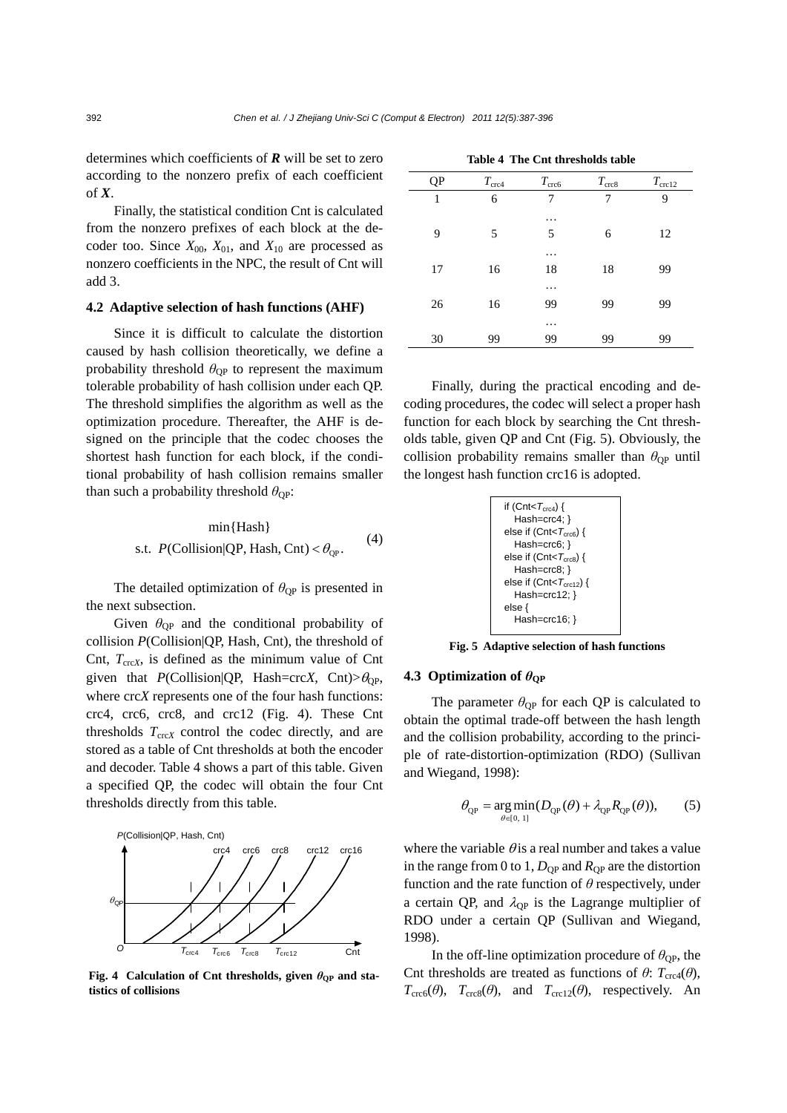determines which coefficients of *R* will be set to zero according to the nonzero prefix of each coefficient of *X*.

Finally, the statistical condition Cnt is calculated from the nonzero prefixes of each block at the decoder too. Since  $X_{00}$ ,  $X_{01}$ , and  $X_{10}$  are processed as nonzero coefficients in the NPC, the result of Cnt will add 3.

### **4.2 Adaptive selection of hash functions (AHF)**

Since it is difficult to calculate the distortion caused by hash collision theoretically, we define a probability threshold  $\theta_{\rm OP}$  to represent the maximum tolerable probability of hash collision under each QP. The threshold simplifies the algorithm as well as the optimization procedure. Thereafter, the AHF is designed on the principle that the codec chooses the shortest hash function for each block, if the conditional probability of hash collision remains smaller than such a probability threshold  $\theta_{\text{OP}}$ :

# s.t.  $P(\text{Collision}|QP, \text{Hash}, \text{Cnt}) < \theta_{\text{QP}}$ . <sup>(4)</sup> min{Hash}

The detailed optimization of  $\theta_{OP}$  is presented in the next subsection.

Given  $\theta_{\rm OP}$  and the conditional probability of collision *P*(Collision|QP, Hash, Cnt), the threshold of Cnt,  $T_{\text{crcX}}$ , is defined as the minimum value of Cnt given that *P*(Collision|QP, Hash=crc*X*, Cnt)> $\theta_{\text{OP}}$ , where  $crcX$  represents one of the four hash functions: crc4, crc6, crc8, and crc12 (Fig. 4). These Cnt thresholds  $T_{\text{crc}X}$  control the codec directly, and are stored as a table of Cnt thresholds at both the encoder and decoder. Table 4 shows a part of this table. Given a specified QP, the codec will obtain the four Cnt thresholds directly from this table.



**Fig. 4** Calculation of Cnt thresholds, given  $\theta_{OP}$  and sta**tistics of collisions** 

| Table + THE CIR thresholds table |                 |                 |                             |                   |  |  |
|----------------------------------|-----------------|-----------------|-----------------------------|-------------------|--|--|
| QP                               | $T_{\rm{crc4}}$ | $T_{\rm{crc6}}$ | $T_{\rm cr \underline{c}8}$ | $T_{\rm {crc12}}$ |  |  |
| 1                                | 6               | 7               | 7                           | 9                 |  |  |
|                                  |                 | $\ddotsc$       |                             |                   |  |  |
| 9                                | 5               | 5               | 6                           | 12                |  |  |
|                                  |                 | $\cdots$        |                             |                   |  |  |
| 17                               | 16              | 18              | 18                          | 99                |  |  |
|                                  |                 | .               |                             |                   |  |  |
| 26                               | 16              | 99              | 99                          | 99                |  |  |
|                                  |                 | .               |                             |                   |  |  |
| 30                               | 99              | 99              | 99                          | 99                |  |  |
|                                  |                 |                 |                             |                   |  |  |

**Table 4 The Cnt thresholds table** 

Finally, during the practical encoding and decoding procedures, the codec will select a proper hash function for each block by searching the Cnt thresholds table, given QP and Cnt (Fig. 5). Obviously, the collision probability remains smaller than  $\theta_{OP}$  until the longest hash function crc16 is adopted.



**Fig. 5 Adaptive selection of hash functions**

## **4.3 Optimization of**  $\theta_{\text{OP}}$

The parameter  $\theta_{OP}$  for each QP is calculated to obtain the optimal trade-off between the hash length and the collision probability, according to the principle of rate-distortion-optimization (RDO) (Sullivan and Wiegand, 1998):

$$
\theta_{\rm QP} = \underset{\theta \in [0, 1]}{\arg \min} (D_{\rm QP}(\theta) + \lambda_{\rm QP} R_{\rm QP}(\theta)), \qquad (5)
$$

where the variable  $\theta$  is a real number and takes a value in the range from 0 to 1,  $D_{OP}$  and  $R_{OP}$  are the distortion function and the rate function of *θ* respectively, under a certain QP, and  $\lambda_{\text{OP}}$  is the Lagrange multiplier of RDO under a certain QP (Sullivan and Wiegand, 1998).

In the off-line optimization procedure of  $\theta_{\rm OP}$ , the Cnt thresholds are treated as functions of  $\theta$ :  $T_{\text{crc4}}(\theta)$ ,  $T_{\text{crc6}}(\theta)$ ,  $T_{\text{crc8}}(\theta)$ , and  $T_{\text{crc12}}(\theta)$ , respectively. An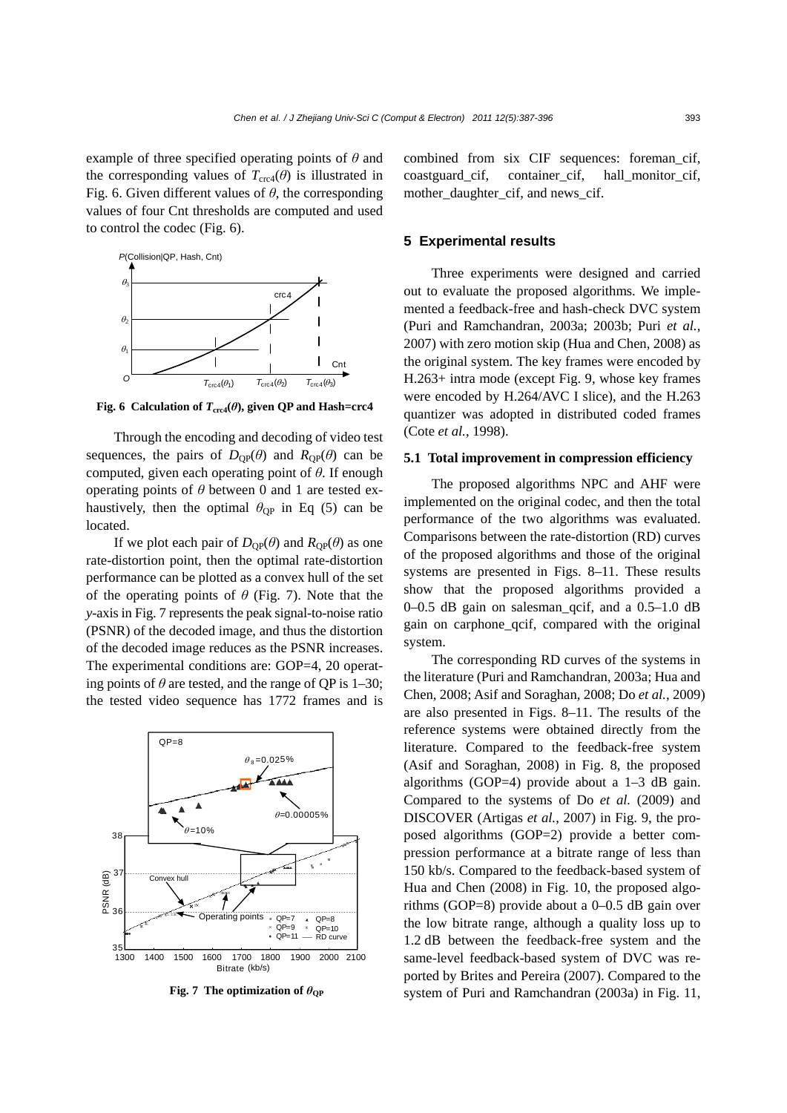example of three specified operating points of *θ* and the corresponding values of  $T_{\text{crc4}}(\theta)$  is illustrated in Fig. 6. Given different values of *θ*, the corresponding values of four Cnt thresholds are computed and used to control the codec (Fig. 6).



**Fig. 6 Calculation of**  $T_{\text{crc4}}(\theta)$ **, given QP and Hash=crc4** 

Through the encoding and decoding of video test sequences, the pairs of  $D_{OP}(\theta)$  and  $R_{OP}(\theta)$  can be computed, given each operating point of *θ*. If enough operating points of *θ* between 0 and 1 are tested exhaustively, then the optimal  $\theta_{\text{QP}}$  in Eq (5) can be located.

If we plot each pair of  $D_{\text{OP}}(\theta)$  and  $R_{\text{OP}}(\theta)$  as one rate-distortion point, then the optimal rate-distortion performance can be plotted as a convex hull of the set of the operating points of  $\theta$  (Fig. 7). Note that the *y*-axis in Fig. 7 represents the peak signal-to-noise ratio (PSNR) of the decoded image, and thus the distortion of the decoded image reduces as the PSNR increases. The experimental conditions are: GOP=4, 20 operating points of  $\theta$  are tested, and the range of QP is 1–30; the tested video sequence has 1772 frames and is



**Fig. 7** The optimization of  $\theta_{OP}$ 

combined from six CIF sequences: foreman\_cif, coastguard\_cif, container\_cif, hall\_monitor\_cif, mother\_daughter\_cif, and news\_cif.

# **5 Experimental results**

Three experiments were designed and carried out to evaluate the proposed algorithms. We implemented a feedback-free and hash-check DVC system (Puri and Ramchandran, 2003a; 2003b; Puri *et al.*, 2007) with zero motion skip (Hua and Chen, 2008) as the original system. The key frames were encoded by H.263+ intra mode (except Fig. 9, whose key frames were encoded by H.264/AVC I slice), and the H.263 quantizer was adopted in distributed coded frames (Cote *et al.*, 1998).

#### **5.1 Total improvement in compression efficiency**

The proposed algorithms NPC and AHF were implemented on the original codec, and then the total performance of the two algorithms was evaluated. Comparisons between the rate-distortion (RD) curves of the proposed algorithms and those of the original systems are presented in Figs. 8–11. These results show that the proposed algorithms provided a 0–0.5 dB gain on salesman\_qcif, and a 0.5–1.0 dB gain on carphone\_qcif, compared with the original system.

The corresponding RD curves of the systems in the literature (Puri and Ramchandran, 2003a; Hua and Chen, 2008; Asif and Soraghan, 2008; Do *et al.*, 2009) are also presented in Figs. 8–11. The results of the reference systems were obtained directly from the literature. Compared to the feedback-free system (Asif and Soraghan, 2008) in Fig. 8, the proposed algorithms (GOP=4) provide about a  $1-3$  dB gain. Compared to the systems of Do *et al.* (2009) and DISCOVER (Artigas *et al.*, 2007) in Fig. 9, the proposed algorithms (GOP=2) provide a better compression performance at a bitrate range of less than 150 kb/s. Compared to the feedback-based system of Hua and Chen (2008) in Fig. 10, the proposed algorithms (GOP=8) provide about a 0–0.5 dB gain over the low bitrate range, although a quality loss up to 1.2 dB between the feedback-free system and the same-level feedback-based system of DVC was reported by Brites and Pereira (2007). Compared to the system of Puri and Ramchandran (2003a) in Fig. 11,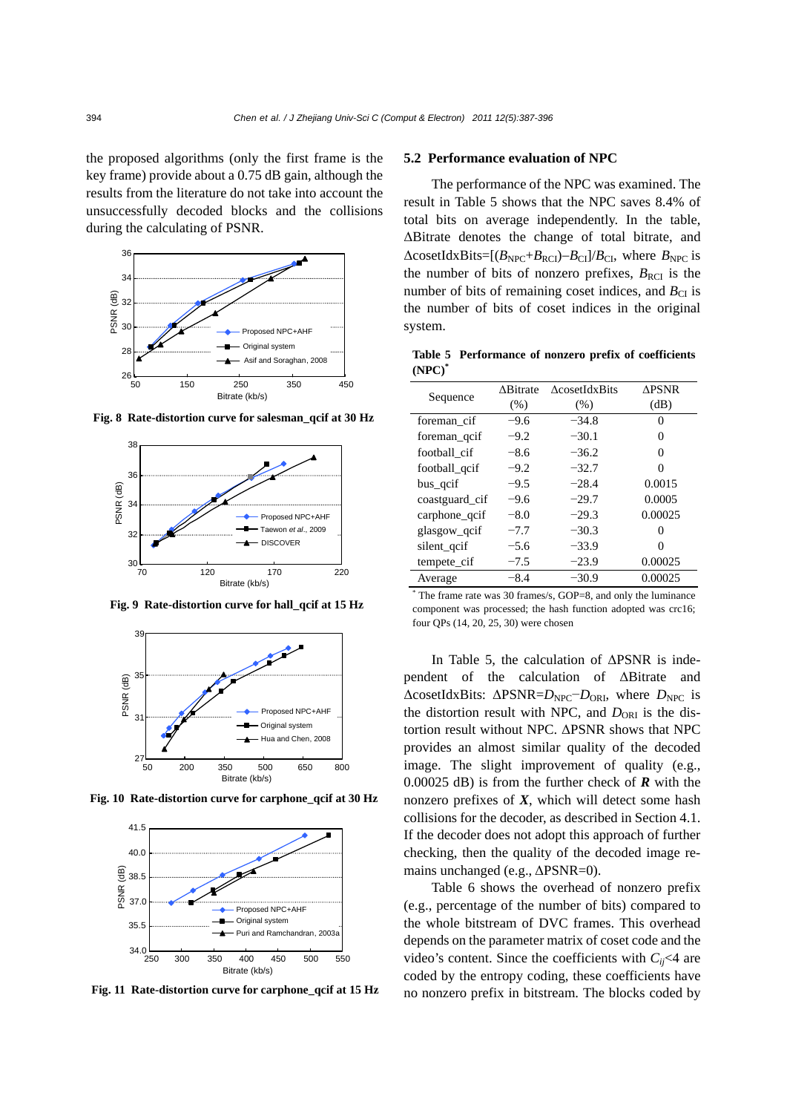the proposed algorithms (only the first frame is the key frame) provide about a 0.75 dB gain, although the results from the literature do not take into account the unsuccessfully decoded blocks and the collisions during the calculating of PSNR.



**Fig. 8 Rate-distortion curve for salesman\_qcif at 30 Hz**



**Fig. 9 Rate-distortion curve for hall\_qcif at 15 Hz**



**Fig. 10 Rate-distortion curve for carphone\_qcif at 30 Hz**



**Fig. 11 Rate-distortion curve for carphone\_qcif at 15 Hz**

#### **5.2 Performance evaluation of NPC**

The performance of the NPC was examined. The result in Table 5 shows that the NPC saves 8.4% of total bits on average independently. In the table, ΔBitrate denotes the change of total bitrate, and  $\Delta$ cosetIdxBits=[ $(B_{\text{NPC}}+B_{\text{RCI}})-B_{\text{CI}}$ ]/*B*<sub>CI</sub>, where *B*<sub>NPC</sub> is the number of bits of nonzero prefixes,  $B_{\text{RCI}}$  is the number of bits of remaining coset indices, and  $B_{CI}$  is the number of bits of coset indices in the original system.

**Table 5 Performance of nonzero prefix of coefficients (NPC)\***

|                | <b>ABitrate</b> | <b>AcosetIdxBits</b> | <b>APSNR</b>      |
|----------------|-----------------|----------------------|-------------------|
| Sequence       | (% )            | (% )                 | (dB)              |
| foreman cif    | $-9.6$          | $-34.8$              | $\mathbf{\Omega}$ |
| foreman qcif   | $-9.2$          | $-30.1$              | $_{0}$            |
| football cif   | $-8.6$          | $-36.2$              | $\mathbf{\Omega}$ |
| football_qcif  | $-9.2$          | $-32.7$              | 0                 |
| bus qcif       | $-9.5$          | $-28.4$              | 0.0015            |
| coastguard cif | $-9.6$          | $-29.7$              | 0.0005            |
| carphone qcif  | $-8.0$          | $-29.3$              | 0.00025           |
| glasgow_qcif   | $-7.7$          | $-30.3$              | 0                 |
| silent_qcif    | $-5.6$          | $-33.9$              | 0                 |
| tempete_cif    | $-7.5$          | $-23.9$              | 0.00025           |
| Average        | $-8.4$          | $-30.9$              | 0.00025           |

\* The frame rate was 30 frames/s, GOP=8, and only the luminance component was processed; the hash function adopted was crc16; four QPs (14, 20, 25, 30) were chosen

In Table 5, the calculation of ΔPSNR is independent of the calculation of ΔBitrate and  $\triangle$ cosetIdxBits: ΔPSNR=*D*<sub>NPC</sub>−*D*<sub>ORI</sub>, where *D*<sub>NPC</sub> is the distortion result with NPC, and  $D_{ORI}$  is the distortion result without NPC. ΔPSNR shows that NPC provides an almost similar quality of the decoded image. The slight improvement of quality (e.g., 0.00025 dB) is from the further check of *R* with the nonzero prefixes of *X*, which will detect some hash collisions for the decoder, as described in Section 4.1. If the decoder does not adopt this approach of further checking, then the quality of the decoded image remains unchanged (e.g., ΔPSNR=0).

Table 6 shows the overhead of nonzero prefix (e.g., percentage of the number of bits) compared to the whole bitstream of DVC frames. This overhead depends on the parameter matrix of coset code and the video's content. Since the coefficients with  $C_{ii}$ <4 are coded by the entropy coding, these coefficients have no nonzero prefix in bitstream. The blocks coded by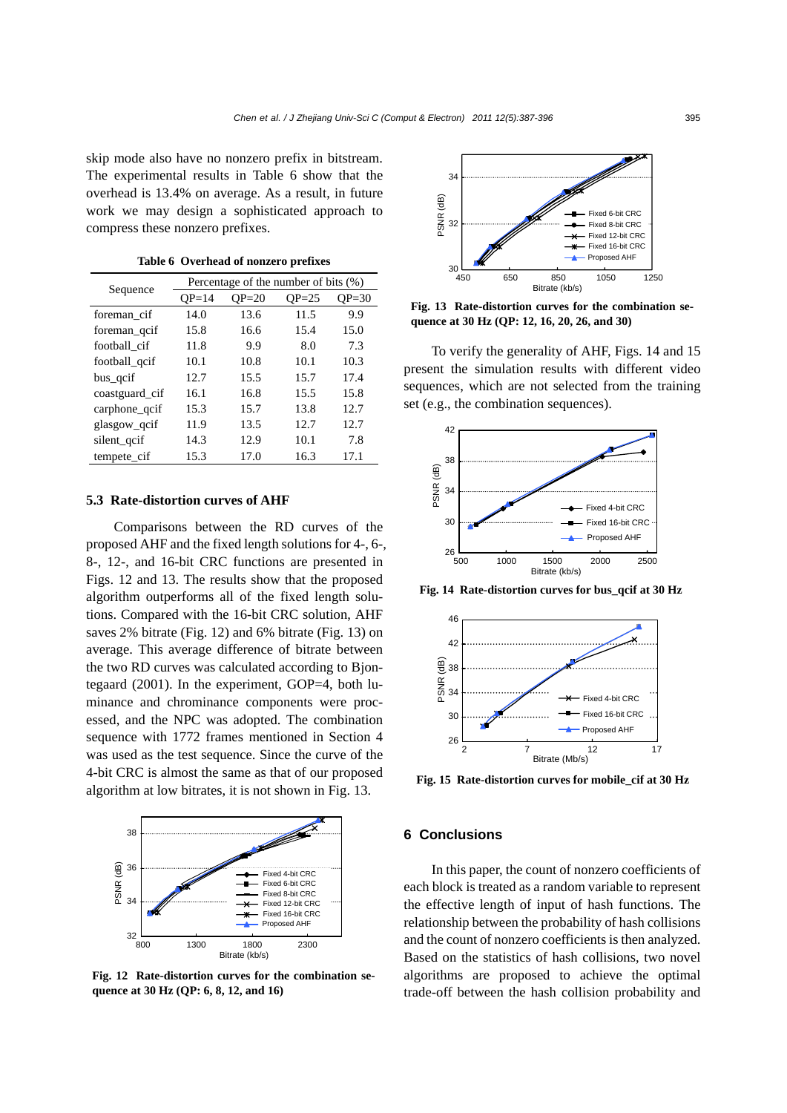skip mode also have no nonzero prefix in bitstream. The experimental results in Table 6 show that the overhead is 13.4% on average. As a result, in future work we may design a sophisticated approach to compress these nonzero prefixes.

|                | Percentage of the number of bits (%) |       |           |           |  |  |
|----------------|--------------------------------------|-------|-----------|-----------|--|--|
| Sequence       | $OP = 14$                            | OP=20 | $OP = 25$ | $OP = 30$ |  |  |
| foreman cif    | 14.0                                 | 13.6  | 11.5      | 9.9       |  |  |
| foreman qcif   | 15.8                                 | 16.6  | 15.4      | 15.0      |  |  |
| football cif   | 11.8                                 | 9.9   | 8.0       | 7.3       |  |  |
| football_qcif  | 10.1                                 | 10.8  | 10.1      | 10.3      |  |  |
| bus qcif       | 12.7                                 | 15.5  | 15.7      | 17.4      |  |  |
| coastguard cif | 16.1                                 | 16.8  | 15.5      | 15.8      |  |  |
| carphone qcif  | 15.3                                 | 15.7  | 13.8      | 12.7      |  |  |
| glasgow_qcif   | 11.9                                 | 13.5  | 12.7      | 12.7      |  |  |
| silent_qcif    | 14.3                                 | 12.9  | 10.1      | 7.8       |  |  |
| tempete_cif    | 15.3                                 | 17.0  | 16.3      | 17.1      |  |  |

**Table 6 Overhead of nonzero prefixes** 

### **5.3 Rate-distortion curves of AHF**

Comparisons between the RD curves of the proposed AHF and the fixed length solutions for 4-, 6-, 8-, 12-, and 16-bit CRC functions are presented in Figs. 12 and 13. The results show that the proposed algorithm outperforms all of the fixed length solutions. Compared with the 16-bit CRC solution, AHF saves 2% bitrate (Fig. 12) and 6% bitrate (Fig. 13) on average. This average difference of bitrate between the two RD curves was calculated according to Bjontegaard (2001). In the experiment, GOP=4, both luminance and chrominance components were processed, and the NPC was adopted. The combination sequence with 1772 frames mentioned in Section 4 was used as the test sequence. Since the curve of the 4-bit CRC is almost the same as that of our proposed algorithm at low bitrates, it is not shown in Fig. 13.



**Fig. 12 Rate-distortion curves for the combination sequence at 30 Hz (QP: 6, 8, 12, and 16)** 



**Fig. 13 Rate-distortion curves for the combination sequence at 30 Hz (QP: 12, 16, 20, 26, and 30)** 

To verify the generality of AHF, Figs. 14 and 15 present the simulation results with different video sequences, which are not selected from the training set (e.g., the combination sequences).



**Fig. 14 Rate-distortion curves for bus\_qcif at 30 Hz**



**Fig. 15 Rate-distortion curves for mobile\_cif at 30 Hz**

### **6 Conclusions**

In this paper, the count of nonzero coefficients of each block is treated as a random variable to represent the effective length of input of hash functions. The relationship between the probability of hash collisions and the count of nonzero coefficients is then analyzed. Based on the statistics of hash collisions, two novel algorithms are proposed to achieve the optimal trade-off between the hash collision probability and